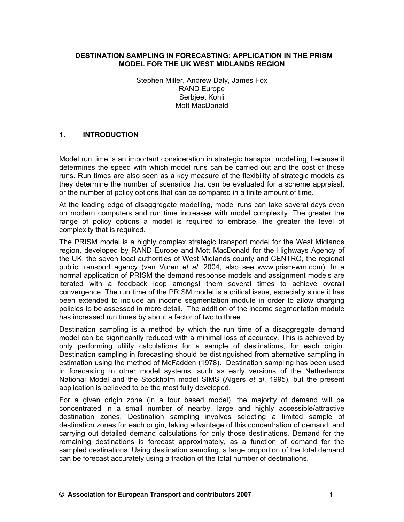#### **DESTINATION SAMPLING IN FORECASTING: APPLICATION IN THE PRISM MODEL FOR THE UK WEST MIDLANDS REGION**

Stephen Miller, Andrew Daly, James Fox RAND Europe Serbjeet Kohli Mott MacDonald

#### **1. INTRODUCTION**

Model run time is an important consideration in strategic transport modelling, because it determines the speed with which model runs can be carried out and the cost of those runs. Run times are also seen as a key measure of the flexibility of strategic models as they determine the number of scenarios that can be evaluated for a scheme appraisal, or the number of policy options that can be compared in a finite amount of time.

At the leading edge of disaggregate modelling, model runs can take several days even on modern computers and run time increases with model complexity. The greater the range of policy options a model is required to embrace, the greater the level of complexity that is required.

The PRISM model is a highly complex strategic transport model for the West Midlands region, developed by RAND Europe and Mott MacDonald for the Highways Agency of the UK, the seven local authorities of West Midlands county and CENTRO, the regional public transport agency (van Vuren *et al*, 2004, also see www.prism-wm.com). In a normal application of PRISM the demand response models and assignment models are iterated with a feedback loop amongst them several times to achieve overall convergence. The run time of the PRISM model is a critical issue, especially since it has been extended to include an income segmentation module in order to allow charging policies to be assessed in more detail. The addition of the income segmentation module has increased run times by about a factor of two to three.

Destination sampling is a method by which the run time of a disaggregate demand model can be significantly reduced with a minimal loss of accuracy. This is achieved by only performing utility calculations for a sample of destinations, for each origin. Destination sampling in forecasting should be distinguished from alternative sampling in estimation using the method of McFadden (1978). Destination sampling has been used in forecasting in other model systems, such as early versions of the Netherlands National Model and the Stockholm model SIMS (Algers *et al*, 1995), but the present application is believed to be the most fully developed.

For a given origin zone (in a tour based model), the majority of demand will be concentrated in a small number of nearby, large and highly accessible/attractive destination zones. Destination sampling involves selecting a limited sample of destination zones for each origin, taking advantage of this concentration of demand, and carrying out detailed demand calculations for only those destinations. Demand for the remaining destinations is forecast approximately, as a function of demand for the sampled destinations. Using destination sampling, a large proportion of the total demand can be forecast accurately using a fraction of the total number of destinations.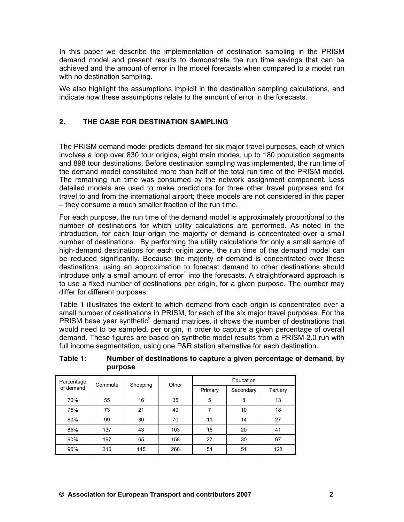In this paper we describe the implementation of destination sampling in the PRISM demand model and present results to demonstrate the run time savings that can be achieved and the amount of error in the model forecasts when compared to a model run with no destination sampling.

We also highlight the assumptions implicit in the destination sampling calculations, and indicate how these assumptions relate to the amount of error in the forecasts.

## **2. THE CASE FOR DESTINATION SAMPLING**

The PRISM demand model predicts demand for six major travel purposes, each of which involves a loop over 830 tour origins, eight main modes, up to 180 population segments and 898 tour destinations. Before destination sampling was implemented, the run time of the demand model constituted more than half of the total run time of the PRISM model. The remaining run time was consumed by the network assignment component. Less detailed models are used to make predictions for three other travel purposes and for travel to and from the international airport; these models are not considered in this paper – they consume a much smaller fraction of the run time.

For each purpose, the run time of the demand model is approximately proportional to the number of destinations for which utility calculations are performed. As noted in the introduction, for each tour origin the majority of demand is concentrated over a small number of destinations. By performing the utility calculations for only a small sample of high-demand destinations for each origin zone, the run time of the demand model can be reduced significantly. Because the majority of demand is concentrated over these destinations, using an approximation to forecast demand to other destinations should introduce only a small amount of error<sup>1</sup> into the forecasts. A straightforward approach is to use a fixed number of destinations per origin, for a given purpose. The number may differ for different purposes.

Table 1 illustrates the extent to which demand from each origin is concentrated over a small number of destinations in PRISM, for each of the six major travel purposes. For the PRISM base year synthetic<sup>2</sup> demand matrices, it shows the number of destinations that would need to be sampled, per origin, in order to capture a given percentage of overall demand. These figures are based on synthetic model results from a PRISM 2.0 run with full income segmentation, using one P&R station alternative for each destination.

| Percentage | Commute | Shopping | Other   | Education |           |          |  |  |  |
|------------|---------|----------|---------|-----------|-----------|----------|--|--|--|
| of demand  |         |          | Primary |           | Secondary | Tertiary |  |  |  |
| 70%        | 55      | 16       | 35      | 5         | 8         | 13       |  |  |  |
| 75%        | 73      | 21       | 49      | 7         | 10        | 18       |  |  |  |
| 80%        | 99      | 30       | 70      | 11        | 14        | 27       |  |  |  |
| 85%        | 137     | 43       | 103     | 16        | 20        | 41       |  |  |  |
| 90%        | 197     | 65       | 158     | 27        | 30        | 67       |  |  |  |
| 95%        | 310     | 115      | 268     | 54        | 51        | 128      |  |  |  |

#### **Table 1: Number of destinations to capture a given percentage of demand, by purpose**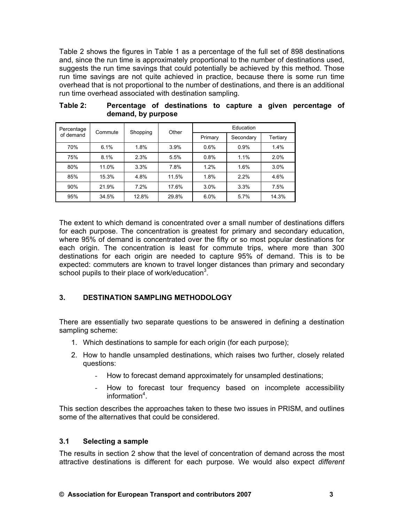Table 2 shows the figures in Table 1 as a percentage of the full set of 898 destinations and, since the run time is approximately proportional to the number of destinations used, suggests the run time savings that could potentially be achieved by this method. Those run time savings are not quite achieved in practice, because there is some run time overhead that is not proportional to the number of destinations, and there is an additional run time overhead associated with destination sampling.

| Percentage | Commute | Shopping | Other   | Education |           |          |  |  |  |
|------------|---------|----------|---------|-----------|-----------|----------|--|--|--|
| of demand  |         |          | Primary |           | Secondary | Tertiary |  |  |  |
| 70%        | 6.1%    | 1.8%     | 3.9%    | 0.6%      | 0.9%      | 1.4%     |  |  |  |
| 75%        | 8.1%    | 2.3%     | 5.5%    | 0.8%      | 1.1%      | 2.0%     |  |  |  |
| 80%        | 11.0%   | 3.3%     | 7.8%    | 1.2%      | 1.6%      | 3.0%     |  |  |  |
| 85%        | 15.3%   | 4.8%     | 11.5%   | 1.8%      | 2.2%      | 4.6%     |  |  |  |
| 90%        | 21.9%   | 7.2%     | 17.6%   | 3.0%      | 3.3%      | 7.5%     |  |  |  |
| 95%        | 34.5%   | 12.8%    | 29.8%   | 6.0%      | 5.7%      | 14.3%    |  |  |  |

| Table 2: |                    | Percentage of destinations to capture a given percentage of |  |  |  |
|----------|--------------------|-------------------------------------------------------------|--|--|--|
|          | demand, by purpose |                                                             |  |  |  |

The extent to which demand is concentrated over a small number of destinations differs for each purpose. The concentration is greatest for primary and secondary education, where 95% of demand is concentrated over the fifty or so most popular destinations for each origin. The concentration is least for commute trips, where more than 300 destinations for each origin are needed to capture 95% of demand. This is to be expected: commuters are known to travel longer distances than primary and secondary school pupils to their place of work/education<sup>3</sup>.

## **3. DESTINATION SAMPLING METHODOLOGY**

There are essentially two separate questions to be answered in defining a destination sampling scheme:

- 1. Which destinations to sample for each origin (for each purpose);
- 2. How to handle unsampled destinations, which raises two further, closely related questions:
	- How to forecast demand approximately for unsampled destinations;
	- How to forecast tour frequency based on incomplete accessibility information<sup>4</sup>.

This section describes the approaches taken to these two issues in PRISM, and outlines some of the alternatives that could be considered.

## **3.1 Selecting a sample**

The results in section 2 show that the level of concentration of demand across the most attractive destinations is different for each purpose. We would also expect *different*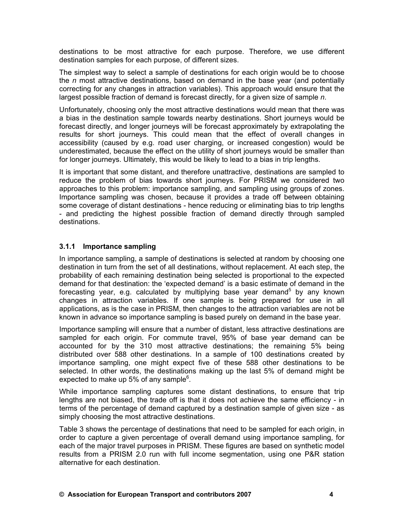destinations to be most attractive for each purpose. Therefore, we use different destination samples for each purpose, of different sizes.

The simplest way to select a sample of destinations for each origin would be to choose the *n* most attractive destinations, based on demand in the base year (and potentially correcting for any changes in attraction variables). This approach would ensure that the largest possible fraction of demand is forecast directly, for a given size of sample *n*.

Unfortunately, choosing only the most attractive destinations would mean that there was a bias in the destination sample towards nearby destinations. Short journeys would be forecast directly, and longer journeys will be forecast approximately by extrapolating the results for short journeys. This could mean that the effect of overall changes in accessibility (caused by e.g. road user charging, or increased congestion) would be underestimated, because the effect on the utility of short journeys would be smaller than for longer journeys. Ultimately, this would be likely to lead to a bias in trip lengths.

It is important that some distant, and therefore unattractive, destinations are sampled to reduce the problem of bias towards short journeys. For PRISM we considered two approaches to this problem: importance sampling, and sampling using groups of zones. Importance sampling was chosen, because it provides a trade off between obtaining some coverage of distant destinations - hence reducing or eliminating bias to trip lengths - and predicting the highest possible fraction of demand directly through sampled destinations.

#### **3.1.1 Importance sampling**

In importance sampling, a sample of destinations is selected at random by choosing one destination in turn from the set of all destinations, without replacement. At each step, the probability of each remaining destination being selected is proportional to the expected demand for that destination: the 'expected demand' is a basic estimate of demand in the forecasting year, e.g. calculated by multiplying base year demand<sup>5</sup> by any known changes in attraction variables. If one sample is being prepared for use in all applications, as is the case in PRISM, then changes to the attraction variables are not be known in advance so importance sampling is based purely on demand in the base year.

Importance sampling will ensure that a number of distant, less attractive destinations are sampled for each origin. For commute travel, 95% of base year demand can be accounted for by the 310 most attractive destinations; the remaining 5% being distributed over 588 other destinations. In a sample of 100 destinations created by importance sampling, one might expect five of these 588 other destinations to be selected. In other words, the destinations making up the last 5% of demand might be expected to make up 5% of any sample $6$ .

While importance sampling captures some distant destinations, to ensure that trip lengths are not biased, the trade off is that it does not achieve the same efficiency - in terms of the percentage of demand captured by a destination sample of given size - as simply choosing the most attractive destinations.

Table 3 shows the percentage of destinations that need to be sampled for each origin, in order to capture a given percentage of overall demand using importance sampling, for each of the major travel purposes in PRISM. These figures are based on synthetic model results from a PRISM 2.0 run with full income segmentation, using one P&R station alternative for each destination.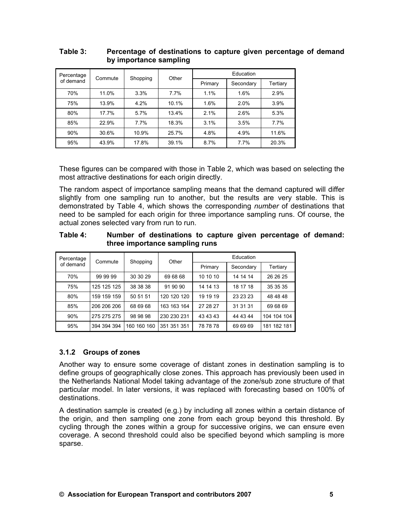| Percentage | Commute | Shopping | Other | Education |           |          |  |  |
|------------|---------|----------|-------|-----------|-----------|----------|--|--|
| of demand  |         |          |       | Primary   | Secondary | Tertiary |  |  |
| 70%        | 11.0%   | 3.3%     | 7.7%  | 1.1%      | 1.6%      | 2.9%     |  |  |
| 75%        | 13.9%   | 4.2%     | 10.1% | 1.6%      | 2.0%      | 3.9%     |  |  |
| 80%        | 17.7%   | 5.7%     | 13.4% | 2.1%      | 2.6%      | 5.3%     |  |  |
| 85%        | 22.9%   | $7.7\%$  | 18.3% | 3.1%      | 3.5%      | 7.7%     |  |  |
| 90%        | 30.6%   | 10.9%    | 25.7% | 4.8%      | 4.9%      | 11.6%    |  |  |
| 95%        | 43.9%   | 17.8%    | 39.1% | 8.7%      | 7.7%      | 20.3%    |  |  |

## **Table 3: Percentage of destinations to capture given percentage of demand by importance sampling**

These figures can be compared with those in Table 2, which was based on selecting the most attractive destinations for each origin directly.

The random aspect of importance sampling means that the demand captured will differ slightly from one sampling run to another, but the results are very stable. This is demonstrated by Table 4, which shows the corresponding *number* of destinations that need to be sampled for each origin for three importance sampling runs. Of course, the actual zones selected vary from run to run.

| Table 4: | Number of destinations to capture given percentage of demand: |
|----------|---------------------------------------------------------------|
|          | three importance sampling runs                                |

| Percentage | Commute     | Shopping    | Other       | Education |           |             |  |  |
|------------|-------------|-------------|-------------|-----------|-----------|-------------|--|--|
| of demand  |             |             |             | Primary   | Secondary | Tertiary    |  |  |
| 70%        | 99 99 99    | 30 30 29    | 69 68 68    | 10 10 10  | 14 14 14  | 26 26 25    |  |  |
| 75%        | 125 125 125 | 38 38 38    | 91 90 90    | 14 14 13  | 18 17 18  | 35 35 35    |  |  |
| 80%        | 159 159 159 | 50 51 51    | 120 120 120 | 19 19 19  | 23 23 23  | 48 48 48    |  |  |
| 85%        | 206 206 206 | 68 69 68    | 163 163 164 | 27 28 27  | 31 31 31  | 69 68 69    |  |  |
| 90%        | 275 275 275 | 98 98 98    | 230 230 231 | 43 43 43  | 44 43 44  | 104 104 104 |  |  |
| 95%        | 394 394 394 | 160 160 160 | 351 351 351 | 78 78 78  | 69 69 69  | 181 182 181 |  |  |

## **3.1.2 Groups of zones**

Another way to ensure some coverage of distant zones in destination sampling is to define groups of geographically close zones. This approach has previously been used in the Netherlands National Model taking advantage of the zone/sub zone structure of that particular model. In later versions, it was replaced with forecasting based on 100% of destinations.

A destination sample is created (e.g.) by including all zones within a certain distance of the origin, and then sampling one zone from each group beyond this threshold. By cycling through the zones within a group for successive origins, we can ensure even coverage. A second threshold could also be specified beyond which sampling is more sparse.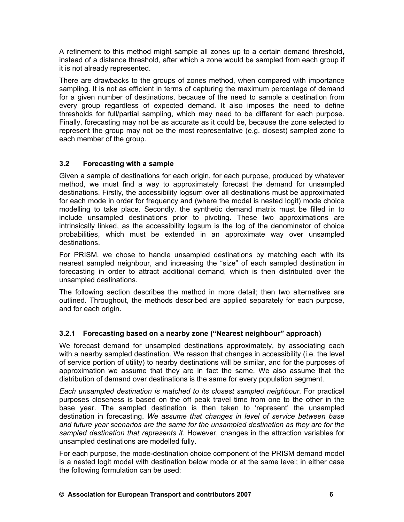A refinement to this method might sample all zones up to a certain demand threshold, instead of a distance threshold, after which a zone would be sampled from each group if it is not already represented.

There are drawbacks to the groups of zones method, when compared with importance sampling. It is not as efficient in terms of capturing the maximum percentage of demand for a given number of destinations, because of the need to sample a destination from every group regardless of expected demand. It also imposes the need to define thresholds for full/partial sampling, which may need to be different for each purpose. Finally, forecasting may not be as accurate as it could be, because the zone selected to represent the group may not be the most representative (e.g. closest) sampled zone to each member of the group.

## **3.2 Forecasting with a sample**

Given a sample of destinations for each origin, for each purpose, produced by whatever method, we must find a way to approximately forecast the demand for unsampled destinations. Firstly, the accessibility logsum over all destinations must be approximated for each mode in order for frequency and (where the model is nested logit) mode choice modelling to take place. Secondly, the synthetic demand matrix must be filled in to include unsampled destinations prior to pivoting. These two approximations are intrinsically linked, as the accessibility logsum is the log of the denominator of choice probabilities, which must be extended in an approximate way over unsampled destinations.

For PRISM, we chose to handle unsampled destinations by matching each with its nearest sampled neighbour, and increasing the "size" of each sampled destination in forecasting in order to attract additional demand, which is then distributed over the unsampled destinations.

The following section describes the method in more detail; then two alternatives are outlined. Throughout, the methods described are applied separately for each purpose, and for each origin.

## **3.2.1 Forecasting based on a nearby zone ("Nearest neighbour" approach)**

We forecast demand for unsampled destinations approximately, by associating each with a nearby sampled destination. We reason that changes in accessibility (i.e. the level of service portion of utility) to nearby destinations will be similar, and for the purposes of approximation we assume that they are in fact the same. We also assume that the distribution of demand over destinations is the same for every population segment.

*Each unsampled destination is matched to its closest sampled neighbour*. For practical purposes closeness is based on the off peak travel time from one to the other in the base year. The sampled destination is then taken to 'represent' the unsampled destination in forecasting. *We assume that changes in level of service between base and future year scenarios are the same for the unsampled destination as they are for the sampled destination that represents it.* However, changes in the attraction variables for unsampled destinations are modelled fully.

For each purpose, the mode-destination choice component of the PRISM demand model is a nested logit model with destination below mode or at the same level; in either case the following formulation can be used: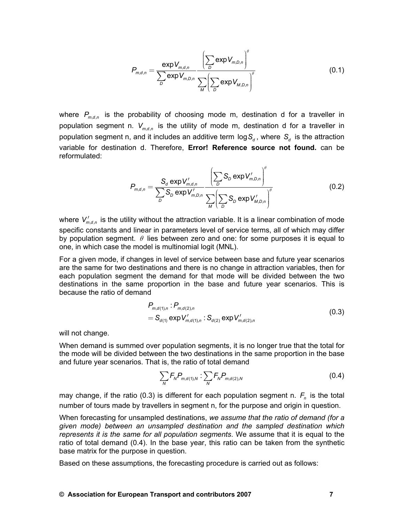$$
P_{m,d,n} = \frac{\exp V_{m,d,n}}{\sum_{D} \exp V_{m,D,n}} \frac{\left(\sum_{D} \exp V_{m,D,n}\right)^{\theta}}{\sum_{M} \left(\sum_{D} \exp V_{M,D,n}\right)^{\theta}}
$$
(0.1)

where  $P_{m,d,n}$  is the probability of choosing mode m, destination d for a traveller in population segment n.  $V_{m,d,n}$  is the utility of mode m, destination d for a traveller in population segment n, and it includes an additive term  $\log S_d$ , where  $S_d$  is the attraction variable for destination d. Therefore, **Error! Reference source not found.** can be reformulated:

$$
P_{m,d,n} = \frac{S_d \exp V'_{m,d,n}}{\sum_{D} S_D \exp V'_{m,D,n}} \frac{\left(\sum_{D} S_D \exp V'_{m,D,n}\right)^{\theta}}{\sum_{M} \left(\sum_{D} S_D \exp V'_{M,D,n}\right)^{\theta}}
$$
(0.2)

where  $V'_{m,d,n}$  is the utility without the attraction variable. It is a linear combination of mode specific constants and linear in parameters level of service terms, all of which may differ by population segment.  $\theta$  lies between zero and one: for some purposes it is equal to one, in which case the model is multinomial logit (MNL).

For a given mode, if changes in level of service between base and future year scenarios are the same for two destinations and there is no change in attraction variables, then for each population segment the demand for that mode will be divided between the two destinations in the same proportion in the base and future year scenarios. This is because the ratio of demand

$$
P_{m,d(1),n} : P_{m,d(2),n}
$$
  
=  $S_{d(1)} \exp V'_{m,d(1),n} : S_{d(2)} \exp V'_{m,d(2),n}$  (0.3)

will not change.

When demand is summed over population segments, it is no longer true that the total for the mode will be divided between the two destinations in the same proportion in the base and future year scenarios. That is, the ratio of total demand

$$
\sum_{N} F_{N} P_{m,d(1),N} : \sum_{N} F_{N} P_{m,d(2),N} \tag{0.4}
$$

may change, if the ratio (0.3) is different for each population segment n.  $F<sub>n</sub>$  is the total number of tours made by travellers in segment n, for the purpose and origin in question.

When forecasting for unsampled destinations, *we assume that the ratio of demand (for a given mode) between an unsampled destination and the sampled destination which represents it is the same for all population segments*. We assume that it is equal to the ratio of total demand (0.4). In the base year, this ratio can be taken from the synthetic base matrix for the purpose in question.

Based on these assumptions, the forecasting procedure is carried out as follows: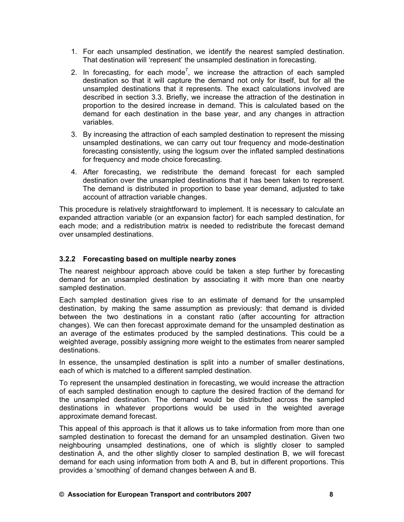- 1. For each unsampled destination, we identify the nearest sampled destination. That destination will 'represent' the unsampled destination in forecasting.
- 2. In forecasting, for each mode<sup>7</sup>, we increase the attraction of each sampled destination so that it will capture the demand not only for itself, but for all the unsampled destinations that it represents. The exact calculations involved are described in section 3.3. Briefly, we increase the attraction of the destination in proportion to the desired increase in demand. This is calculated based on the demand for each destination in the base year, and any changes in attraction variables.
- 3. By increasing the attraction of each sampled destination to represent the missing unsampled destinations, we can carry out tour frequency and mode-destination forecasting consistently, using the logsum over the inflated sampled destinations for frequency and mode choice forecasting.
- 4. After forecasting, we redistribute the demand forecast for each sampled destination over the unsampled destinations that it has been taken to represent. The demand is distributed in proportion to base year demand, adjusted to take account of attraction variable changes.

This procedure is relatively straightforward to implement. It is necessary to calculate an expanded attraction variable (or an expansion factor) for each sampled destination, for each mode; and a redistribution matrix is needed to redistribute the forecast demand over unsampled destinations.

### **3.2.2 Forecasting based on multiple nearby zones**

The nearest neighbour approach above could be taken a step further by forecasting demand for an unsampled destination by associating it with more than one nearby sampled destination.

Each sampled destination gives rise to an estimate of demand for the unsampled destination, by making the same assumption as previously: that demand is divided between the two destinations in a constant ratio (after accounting for attraction changes). We can then forecast approximate demand for the unsampled destination as an average of the estimates produced by the sampled destinations. This could be a weighted average, possibly assigning more weight to the estimates from nearer sampled destinations.

In essence, the unsampled destination is split into a number of smaller destinations, each of which is matched to a different sampled destination.

To represent the unsampled destination in forecasting, we would increase the attraction of each sampled destination enough to capture the desired fraction of the demand for the unsampled destination. The demand would be distributed across the sampled destinations in whatever proportions would be used in the weighted average approximate demand forecast.

This appeal of this approach is that it allows us to take information from more than one sampled destination to forecast the demand for an unsampled destination. Given two neighbouring unsampled destinations, one of which is slightly closer to sampled destination A, and the other slightly closer to sampled destination B, we will forecast demand for each using information from both A and B, but in different proportions. This provides a 'smoothing' of demand changes between A and B.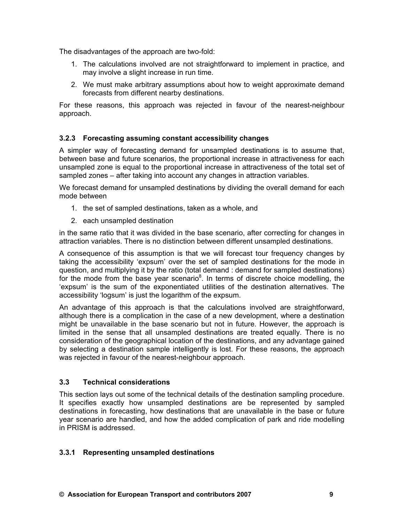The disadvantages of the approach are two-fold:

- 1. The calculations involved are not straightforward to implement in practice, and may involve a slight increase in run time.
- 2. We must make arbitrary assumptions about how to weight approximate demand forecasts from different nearby destinations.

For these reasons, this approach was rejected in favour of the nearest-neighbour approach.

#### **3.2.3 Forecasting assuming constant accessibility changes**

A simpler way of forecasting demand for unsampled destinations is to assume that, between base and future scenarios, the proportional increase in attractiveness for each unsampled zone is equal to the proportional increase in attractiveness of the total set of sampled zones – after taking into account any changes in attraction variables.

We forecast demand for unsampled destinations by dividing the overall demand for each mode between

- 1. the set of sampled destinations, taken as a whole, and
- 2. each unsampled destination

in the same ratio that it was divided in the base scenario, after correcting for changes in attraction variables. There is no distinction between different unsampled destinations.

A consequence of this assumption is that we will forecast tour frequency changes by taking the accessibility 'expsum' over the set of sampled destinations for the mode in question, and multiplying it by the ratio (total demand : demand for sampled destinations) for the mode from the base year scenario<sup>8</sup>. In terms of discrete choice modelling, the 'expsum' is the sum of the exponentiated utilities of the destination alternatives. The accessibility 'logsum' is just the logarithm of the expsum.

An advantage of this approach is that the calculations involved are straightforward, although there is a complication in the case of a new development, where a destination might be unavailable in the base scenario but not in future. However, the approach is limited in the sense that all unsampled destinations are treated equally. There is no consideration of the geographical location of the destinations, and any advantage gained by selecting a destination sample intelligently is lost. For these reasons, the approach was rejected in favour of the nearest-neighbour approach.

## **3.3 Technical considerations**

This section lays out some of the technical details of the destination sampling procedure. It specifies exactly how unsampled destinations are be represented by sampled destinations in forecasting, how destinations that are unavailable in the base or future year scenario are handled, and how the added complication of park and ride modelling in PRISM is addressed.

#### **3.3.1 Representing unsampled destinations**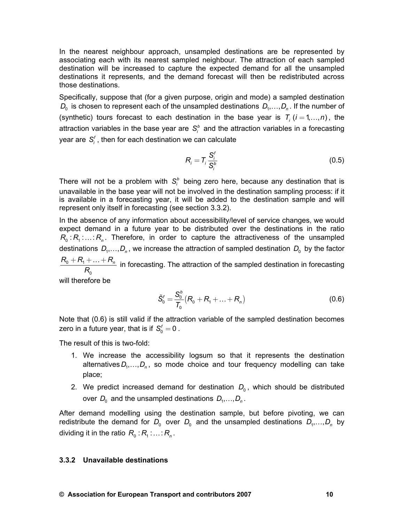In the nearest neighbour approach, unsampled destinations are be represented by associating each with its nearest sampled neighbour. The attraction of each sampled destination will be increased to capture the expected demand for all the unsampled destinations it represents, and the demand forecast will then be redistributed across those destinations.

Specifically, suppose that (for a given purpose, origin and mode) a sampled destination  $D_0$  is chosen to represent each of the unsampled destinations  $D_1, \ldots, D_n$ . If the number of (synthetic) tours forecast to each destination in the base year is  $T_i$  ( $i = 1, ..., n$ ), the attraction variables in the base year are  $S_i^b$  and the attraction variables in a forecasting year are  $S_i^f$ , then for each destination we can calculate

$$
R_i = T_i \frac{S_i^f}{S_i^b} \tag{0.5}
$$

There will not be a problem with  $S_i^b$  being zero here, because any destination that is unavailable in the base year will not be involved in the destination sampling process: if it is available in a forecasting year, it will be added to the destination sample and will represent only itself in forecasting (see section 3.3.2).

In the absence of any information about accessibility/level of service changes, we would expect demand in a future year to be distributed over the destinations in the ratio  $R_0 : R_1 : ... : R_n$ . Therefore, in order to capture the attractiveness of the unsampled destinations  $D_1, \ldots, D_n$ , we increase the attraction of sampled destination  $D_0$  by the factor  $_{0}$  +  $_{1}$ 0  $R_{0}+R_{1}+\ldots+R_{n}$ *R*  $+R_1+\ldots+R_n$  in forecasting. The attraction of the sampled destination in forecasting

will therefore be

$$
\tilde{S}_0^t = \frac{S_0^b}{T_0} (R_0 + R_1 + \dots + R_n)
$$
\n(0.6)

Note that (0.6) is still valid if the attraction variable of the sampled destination becomes zero in a future year, that is if  $S_0^f = 0$ .

The result of this is two-fold:

- 1. We increase the accessibility logsum so that it represents the destination alternatives  $D_1, \ldots, D_n$ , so mode choice and tour frequency modelling can take place;
- 2. We predict increased demand for destination  $D_0$ , which should be distributed over  $D_0$  and the unsampled destinations  $D_1, \ldots, D_n$ .

After demand modelling using the destination sample, but before pivoting, we can redistribute the demand for  $D_0$  over  $D_0$  and the unsampled destinations  $D_1, \ldots, D_n$  by dividing it in the ratio  $R_0 : R_1 : ... : R_n$ .

#### **3.3.2 Unavailable destinations**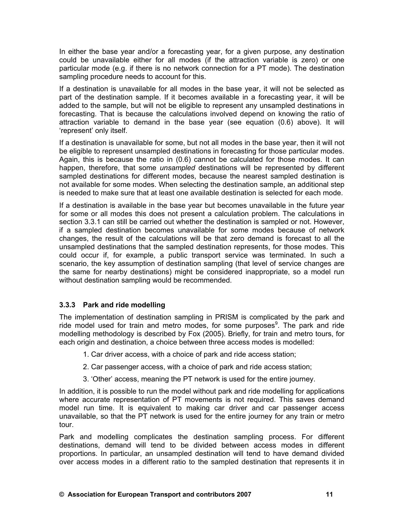In either the base year and/or a forecasting year, for a given purpose, any destination could be unavailable either for all modes (if the attraction variable is zero) or one particular mode (e.g. if there is no network connection for a PT mode). The destination sampling procedure needs to account for this.

If a destination is unavailable for all modes in the base year, it will not be selected as part of the destination sample. If it becomes available in a forecasting year, it will be added to the sample, but will not be eligible to represent any unsampled destinations in forecasting. That is because the calculations involved depend on knowing the ratio of attraction variable to demand in the base year (see equation (0.6) above). It will 'represent' only itself.

If a destination is unavailable for some, but not all modes in the base year, then it will not be eligible to represent unsampled destinations in forecasting for those particular modes. Again, this is because the ratio in (0.6) cannot be calculated for those modes. It can happen, therefore, that some *unsampled* destinations will be represented by different sampled destinations for different modes, because the nearest sampled destination is not available for some modes. When selecting the destination sample, an additional step is needed to make sure that at least one available destination is selected for each mode.

If a destination is available in the base year but becomes unavailable in the future year for some or all modes this does not present a calculation problem. The calculations in section 3.3.1 can still be carried out whether the destination is sampled or not. However, if a sampled destination becomes unavailable for some modes because of network changes, the result of the calculations will be that zero demand is forecast to all the unsampled destinations that the sampled destination represents, for those modes. This could occur if, for example, a public transport service was terminated. In such a scenario, the key assumption of destination sampling (that level of service changes are the same for nearby destinations) might be considered inappropriate, so a model run without destination sampling would be recommended.

## **3.3.3 Park and ride modelling**

The implementation of destination sampling in PRISM is complicated by the park and ride model used for train and metro modes, for some purposes<sup>9</sup>. The park and ride modelling methodology is described by Fox (2005). Briefly, for train and metro tours, for each origin and destination, a choice between three access modes is modelled:

- 1. Car driver access, with a choice of park and ride access station;
- 2. Car passenger access, with a choice of park and ride access station;
- 3. 'Other' access, meaning the PT network is used for the entire journey.

In addition, it is possible to run the model without park and ride modelling for applications where accurate representation of PT movements is not required. This saves demand model run time. It is equivalent to making car driver and car passenger access unavailable, so that the PT network is used for the entire journey for any train or metro tour.

Park and modelling complicates the destination sampling process. For different destinations, demand will tend to be divided between access modes in different proportions. In particular, an unsampled destination will tend to have demand divided over access modes in a different ratio to the sampled destination that represents it in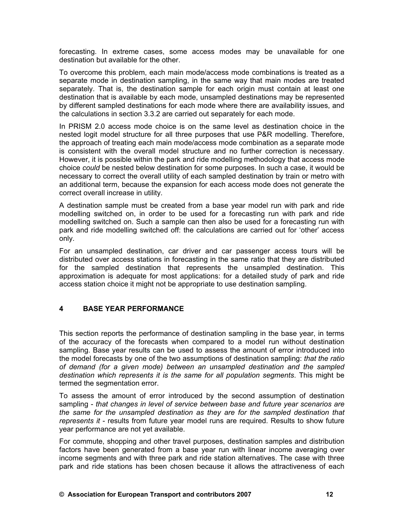forecasting. In extreme cases, some access modes may be unavailable for one destination but available for the other.

To overcome this problem, each main mode/access mode combinations is treated as a separate mode in destination sampling, in the same way that main modes are treated separately. That is, the destination sample for each origin must contain at least one destination that is available by each mode, unsampled destinations may be represented by different sampled destinations for each mode where there are availability issues, and the calculations in section 3.3.2 are carried out separately for each mode.

In PRISM 2.0 access mode choice is on the same level as destination choice in the nested logit model structure for all three purposes that use P&R modelling. Therefore, the approach of treating each main mode/access mode combination as a separate mode is consistent with the overall model structure and no further correction is necessary. However, it is possible within the park and ride modelling methodology that access mode choice *could* be nested below destination for some purposes. In such a case, it would be necessary to correct the overall utility of each sampled destination by train or metro with an additional term, because the expansion for each access mode does not generate the correct overall increase in utility.

A destination sample must be created from a base year model run with park and ride modelling switched on, in order to be used for a forecasting run with park and ride modelling switched on. Such a sample can then also be used for a forecasting run with park and ride modelling switched off: the calculations are carried out for 'other' access only.

For an unsampled destination, car driver and car passenger access tours will be distributed over access stations in forecasting in the same ratio that they are distributed for the sampled destination that represents the unsampled destination. This approximation is adequate for most applications: for a detailed study of park and ride access station choice it might not be appropriate to use destination sampling.

### **4 BASE YEAR PERFORMANCE**

This section reports the performance of destination sampling in the base year, in terms of the accuracy of the forecasts when compared to a model run without destination sampling. Base year results can be used to assess the amount of error introduced into the model forecasts by one of the two assumptions of destination sampling: *that the ratio of demand (for a given mode) between an unsampled destination and the sampled destination which represents it is the same for all population segments*. This might be termed the segmentation error.

To assess the amount of error introduced by the second assumption of destination sampling - *that changes in level of service between base and future year scenarios are the same for the unsampled destination as they are for the sampled destination that represents it* - results from future year model runs are required. Results to show future year performance are not yet available.

For commute, shopping and other travel purposes, destination samples and distribution factors have been generated from a base year run with linear income averaging over income segments and with three park and ride station alternatives. The case with three park and ride stations has been chosen because it allows the attractiveness of each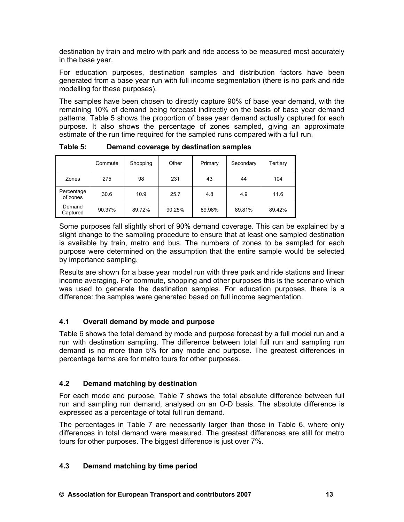destination by train and metro with park and ride access to be measured most accurately in the base year.

For education purposes, destination samples and distribution factors have been generated from a base year run with full income segmentation (there is no park and ride modelling for these purposes).

The samples have been chosen to directly capture 90% of base year demand, with the remaining 10% of demand being forecast indirectly on the basis of base year demand patterns. Table 5 shows the proportion of base year demand actually captured for each purpose. It also shows the percentage of zones sampled, giving an approximate estimate of the run time required for the sampled runs compared with a full run.

|                        | Commute | Shopping | Other  | Primary | Secondary | Tertiary |
|------------------------|---------|----------|--------|---------|-----------|----------|
| Zones                  | 275     | 98       | 231    | 43      | 44        | 104      |
| Percentage<br>of zones | 30.6    | 10.9     | 25.7   | 4.8     | 4.9       | 11.6     |
| Demand<br>Captured     | 90.37%  | 89.72%   | 90.25% | 89.98%  | 89.81%    | 89.42%   |

**Table 5: Demand coverage by destination samples** 

Some purposes fall slightly short of 90% demand coverage. This can be explained by a slight change to the sampling procedure to ensure that at least one sampled destination is available by train, metro and bus. The numbers of zones to be sampled for each purpose were determined on the assumption that the entire sample would be selected by importance sampling.

Results are shown for a base year model run with three park and ride stations and linear income averaging. For commute, shopping and other purposes this is the scenario which was used to generate the destination samples. For education purposes, there is a difference: the samples were generated based on full income segmentation.

# **4.1 Overall demand by mode and purpose**

Table 6 shows the total demand by mode and purpose forecast by a full model run and a run with destination sampling. The difference between total full run and sampling run demand is no more than 5% for any mode and purpose. The greatest differences in percentage terms are for metro tours for other purposes.

## **4.2 Demand matching by destination**

For each mode and purpose, Table 7 shows the total absolute difference between full run and sampling run demand, analysed on an O-D basis. The absolute difference is expressed as a percentage of total full run demand.

The percentages in Table 7 are necessarily larger than those in Table 6, where only differences in total demand were measured. The greatest differences are still for metro tours for other purposes. The biggest difference is just over 7%.

# **4.3 Demand matching by time period**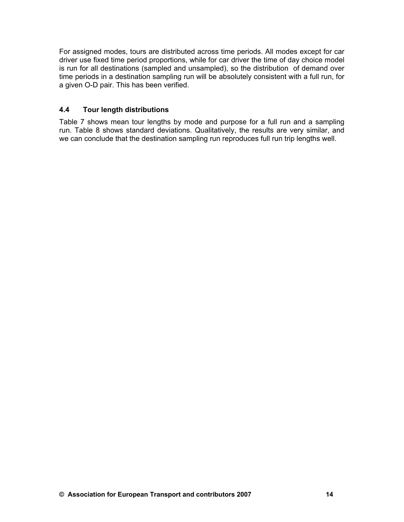For assigned modes, tours are distributed across time periods. All modes except for car driver use fixed time period proportions, while for car driver the time of day choice model is run for all destinations (sampled and unsampled), so the distribution of demand over time periods in a destination sampling run will be absolutely consistent with a full run, for a given O-D pair. This has been verified.

### **4.4 Tour length distributions**

Table 7 shows mean tour lengths by mode and purpose for a full run and a sampling run. Table 8 shows standard deviations. Qualitatively, the results are very similar, and we can conclude that the destination sampling run reproduces full run trip lengths well.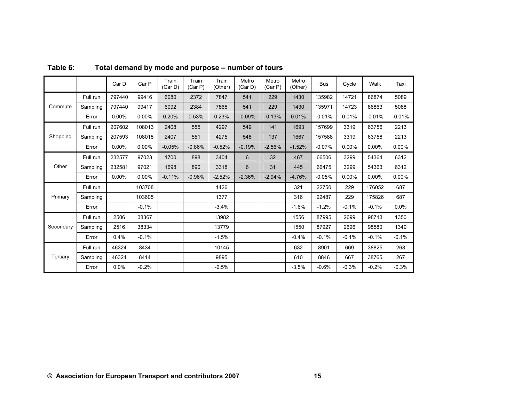|           |          | Car D    | Car P   | Train<br>(Car D) | Train<br>(Car P) | Train<br>(Other) | Metro<br>(Car D) | Metro<br>(Car P) | Metro<br>(Other) | <b>Bus</b> | Cycle    | Walk     | Taxi     |
|-----------|----------|----------|---------|------------------|------------------|------------------|------------------|------------------|------------------|------------|----------|----------|----------|
|           | Full run | 797440   | 99416   | 6080             | 2372             | 7847             | 541              | 229              | 1430             | 135982     | 14721    | 86874    | 5089     |
| Commute   | Sampling | 797440   | 99417   | 6092             | 2384             | 7865             | 541              | 229              | 1430             | 135971     | 14723    | 86863    | 5088     |
|           | Error    | 0.00%    | 0.00%   | 0.20%            | 0.53%            | 0.23%            | $-0.09%$         | $-0.13%$         | 0.01%            | $-0.01%$   | 0.01%    | $-0.01%$ | $-0.01%$ |
|           | Full run | 207602   | 108013  | 2408             | 555              | 4297             | 549              | 141              | 1693             | 157699     | 3319     | 63756    | 2213     |
| Shopping  | Sampling | 207593   | 108018  | 2407             | 551              | 4275             | 548              | 137              | 1667             | 157588     | 3319     | 63758    | 2213     |
|           | Error    | 0.00%    | 0.00%   | $-0.05%$         | $-0.86%$         | $-0.52%$         | $-0.19%$         | $-2.56%$         | $-1.52%$         | $-0.07%$   | $0.00\%$ | $0.00\%$ | $0.00\%$ |
|           | Full run | 232577   | 97023   | 1700             | 898              | 3404             | 6                | 32               | 467              | 66506      | 3299     | 54364    | 6312     |
| Other     | Sampling | 232581   | 97021   | 1698             | 890              | 3318             | 6                | 31               | 445              | 66475      | 3299     | 54363    | 6312     |
|           | Error    | $0.00\%$ | 0.00%   | $-0.11%$         | $-0.96%$         | $-2.52%$         | $-2.36%$         | $-2.94%$         | $-4.76%$         | $-0.05%$   | $0.00\%$ | $0.00\%$ | $0.00\%$ |
|           | Full run |          | 103708  |                  |                  | 1426             |                  |                  | 321              | 22750      | 229      | 176052   | 687      |
| Primary   | Sampling |          | 103605  |                  |                  | 1377             |                  |                  | 316              | 22487      | 229      | 175826   | 687      |
|           | Error    |          | $-0.1%$ |                  |                  | $-3.4%$          |                  |                  | $-1.6%$          | $-1.2%$    | $-0.1%$  | $-0.1%$  | 0.0%     |
|           | Full run | 2506     | 38367   |                  |                  | 13982            |                  |                  | 1556             | 87995      | 2699     | 98713    | 1350     |
| Secondary | Sampling | 2516     | 38334   |                  |                  | 13779            |                  |                  | 1550             | 87927      | 2696     | 98580    | 1349     |
|           | Error    | 0.4%     | $-0.1%$ |                  |                  | $-1.5%$          |                  |                  | $-0.4%$          | $-0.1%$    | $-0.1%$  | $-0.1%$  | $-0.1%$  |
|           | Full run | 46324    | 8434    |                  |                  | 10145            |                  |                  | 632              | 8901       | 669      | 38825    | 268      |
| Tertiary  | Sampling | 46324    | 8414    |                  |                  | 9895             |                  |                  | 610              | 8846       | 667      | 38765    | 267      |
|           | Error    | 0.0%     | $-0.2%$ |                  |                  | $-2.5%$          |                  |                  | $-3.5%$          | $-0.6%$    | $-0.3%$  | $-0.2%$  | $-0.3%$  |

**Table 6: Total demand by mode and purpose – number of tours**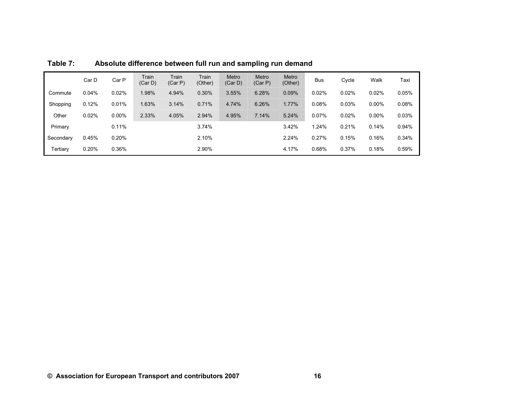|           | Car D | Car P    | Train<br>(Car D) | Train<br>(Car P) | Train<br>(Other) | Metro<br>(Car D) | Metro<br>(Car P) | Metro<br>(Other) | <b>Bus</b> | Cycle | Walk     | Taxi  |
|-----------|-------|----------|------------------|------------------|------------------|------------------|------------------|------------------|------------|-------|----------|-------|
| Commute   | 0.04% | 0.02%    | 1.98%            | 4.94%            | 0.30%            | 3.55%            | 6.28%            | 0.09%            | 0.02%      | 0.02% | 0.02%    | 0.05% |
| Shopping  | 0.12% | 0.01%    | 1.63%            | 3.14%            | 0.71%            | 4.74%            | 6.26%            | 1.77%            | 0.08%      | 0.03% | $0.00\%$ | 0.08% |
| Other     | 0.02% | $0.00\%$ | 2.33%            | 4.05%            | 2.94%            | 4.95%            | 7.14%            | 5.24%            | 0.07%      | 0.02% | $0.00\%$ | 0.03% |
| Primary   |       | 0.11%    |                  |                  | 3.74%            |                  |                  | 3.42%            | 1.24%      | 0.21% | 0.14%    | 0.94% |
| Secondary | 0.45% | 0.20%    |                  |                  | 2.10%            |                  |                  | 2.24%            | 0.27%      | 0.15% | 0.16%    | 0.34% |
| Tertiary  | 0.20% | 0.36%    |                  |                  | 2.90%            |                  |                  | 4.17%            | 0.68%      | 0.37% | 0.18%    | 0.59% |

**Table 7: Absolute difference between full run and sampling run demand**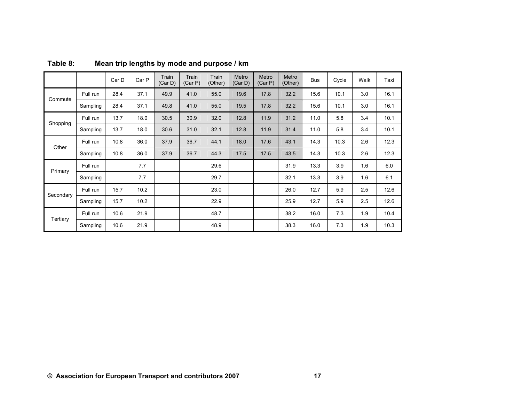|           |          | Car D | Car P | Train<br>(Car D) | Train<br>(Car P) | Train<br>(Other) | Metro<br>(Car D) | Metro<br>(Car P) | Metro<br>(Other) | <b>Bus</b> | Cycle | Walk | Taxi |
|-----------|----------|-------|-------|------------------|------------------|------------------|------------------|------------------|------------------|------------|-------|------|------|
| Commute   | Full run | 28.4  | 37.1  | 49.9             | 41.0             | 55.0             | 19.6             | 17.8             | 32.2             | 15.6       | 10.1  | 3.0  | 16.1 |
|           | Sampling | 28.4  | 37.1  | 49.8             | 41.0             | 55.0             | 19.5             | 17.8             | 32.2             | 15.6       | 10.1  | 3.0  | 16.1 |
| Shopping  | Full run | 13.7  | 18.0  | 30.5             | 30.9             | 32.0             | 12.8             | 11.9             | 31.2             | 11.0       | 5.8   | 3.4  | 10.1 |
|           | Sampling | 13.7  | 18.0  | 30.6             | 31.0             | 32.1             | 12.8             | 11.9             | 31.4             | 11.0       | 5.8   | 3.4  | 10.1 |
|           | Full run | 10.8  | 36.0  | 37.9             | 36.7             | 44.1             | 18.0             | 17.6             | 43.1             | 14.3       | 10.3  | 2.6  | 12.3 |
| Other     | Sampling | 10.8  | 36.0  | 37.9             | 36.7             | 44.3             | 17.5             | 17.5             | 43.5             | 14.3       | 10.3  | 2.6  | 12.3 |
| Primary   | Full run |       | 7.7   |                  |                  | 29.6             |                  |                  | 31.9             | 13.3       | 3.9   | 1.6  | 6.0  |
|           | Sampling |       | 7.7   |                  |                  | 29.7             |                  |                  | 32.1             | 13.3       | 3.9   | 1.6  | 6.1  |
| Secondary | Full run | 15.7  | 10.2  |                  |                  | 23.0             |                  |                  | 26.0             | 12.7       | 5.9   | 2.5  | 12.6 |
|           | Sampling | 15.7  | 10.2  |                  |                  | 22.9             |                  |                  | 25.9             | 12.7       | 5.9   | 2.5  | 12.6 |
|           | Full run | 10.6  | 21.9  |                  |                  | 48.7             |                  |                  | 38.2             | 16.0       | 7.3   | 1.9  | 10.4 |
| Tertiary  | Sampling | 10.6  | 21.9  |                  |                  | 48.9             |                  |                  | 38.3             | 16.0       | 7.3   | 1.9  | 10.3 |

# **Table 8: Mean trip lengths by mode and purpose / km**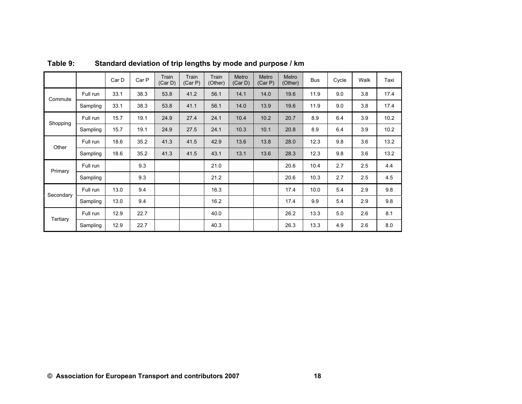|           |          | Car D | Car P | Train<br>(Car D) | Train<br>(Car P) | Train<br>(Other) | Metro<br>(Car D) | Metro<br>(Car P) | Metro<br>(Other) | <b>Bus</b> | Cycle | Walk | Taxi |
|-----------|----------|-------|-------|------------------|------------------|------------------|------------------|------------------|------------------|------------|-------|------|------|
| Commute   | Full run | 33.1  | 38.3  | 53.8             | 41.2             | 56.1             | 14.1             | 14.0             | 19.6             | 11.9       | 9.0   | 3.8  | 17.4 |
|           | Sampling | 33.1  | 38.3  | 53.8             | 41.1             | 56.1             | 14.0             | 13.9             | 19.6             | 11.9       | 9.0   | 3.8  | 17.4 |
| Shopping  | Full run | 15.7  | 19.1  | 24.9             | 27.4             | 24.1             | 10.4             | 10.2             | 20.7             | 8.9        | 6.4   | 3.9  | 10.2 |
|           | Sampling | 15.7  | 19.1  | 24.9             | 27.5             | 24.1             | 10.3             | 10.1             | 20.8             | 8.9        | 6.4   | 3.9  | 10.2 |
| Other     | Full run | 18.6  | 35.2  | 41.3             | 41.5             | 42.9             | 13.6             | 13.8             | 28.0             | 12.3       | 9.8   | 3.6  | 13.2 |
|           | Sampling | 18.6  | 35.2  | 41.3             | 41.5             | 43.1             | 13.1             | 13.6             | 28.3             | 12.3       | 9.8   | 3.6  | 13.2 |
| Primary   | Full run |       | 9.3   |                  |                  | 21.0             |                  |                  | 20.6             | 10.4       | 2.7   | 2.5  | 4.4  |
|           | Sampling |       | 9.3   |                  |                  | 21.2             |                  |                  | 20.6             | 10.3       | 2.7   | 2.5  | 4.5  |
| Secondary | Full run | 13.0  | 9.4   |                  |                  | 16.3             |                  |                  | 17.4             | 10.0       | 5.4   | 2.9  | 9.8  |
|           | Sampling | 13.0  | 9.4   |                  |                  | 16.2             |                  |                  | 17.4             | 9.9        | 5.4   | 2.9  | 9.8  |
| Tertiary  | Full run | 12.9  | 22.7  |                  |                  | 40.0             |                  |                  | 26.2             | 13.3       | 5.0   | 2.6  | 8.1  |
|           | Sampling | 12.9  | 22.7  |                  |                  | 40.3             |                  |                  | 26.3             | 13.3       | 4.9   | 2.6  | 8.0  |

**Table 9: Standard deviation of trip lengths by mode and purpose / km**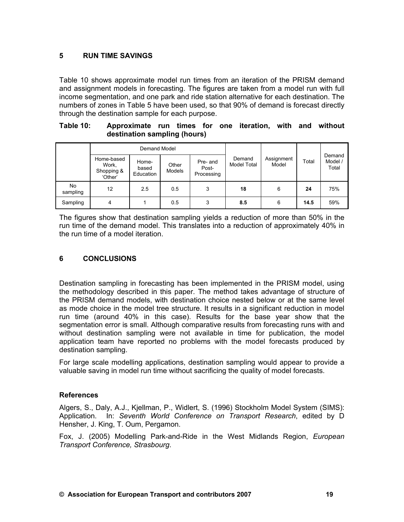## **5 RUN TIME SAVINGS**

Table 10 shows approximate model run times from an iteration of the PRISM demand and assignment models in forecasting. The figures are taken from a model run with full income segmentation, and one park and ride station alternative for each destination. The numbers of zones in Table 5 have been used, so that 90% of demand is forecast directly through the destination sample for each purpose.

#### **Table 10: Approximate run times for one iteration, with and without destination sampling (hours)**

|                             |                                              | Demand Model                |                 |                                 |                              |                     |       | Demand<br>Model /<br>Total |  |
|-----------------------------|----------------------------------------------|-----------------------------|-----------------|---------------------------------|------------------------------|---------------------|-------|----------------------------|--|
| No.<br>sampling<br>Sampling | Home-based<br>Work,<br>Shopping &<br>'Other' | Home-<br>based<br>Education | Other<br>Models | Pre- and<br>Post-<br>Processing | Demand<br><b>Model Total</b> | Assignment<br>Model | Total |                            |  |
|                             | 12                                           | 2.5                         | 0.5             | 3                               | 18                           | 6                   | 24    | 75%                        |  |
|                             | 4                                            |                             | 0.5             | 3                               | 8.5                          | 6                   | 14.5  | 59%                        |  |

The figures show that destination sampling yields a reduction of more than 50% in the run time of the demand model. This translates into a reduction of approximately 40% in the run time of a model iteration.

### **6 CONCLUSIONS**

Destination sampling in forecasting has been implemented in the PRISM model, using the methodology described in this paper. The method takes advantage of structure of the PRISM demand models, with destination choice nested below or at the same level as mode choice in the model tree structure. It results in a significant reduction in model run time (around 40% in this case). Results for the base year show that the segmentation error is small. Although comparative results from forecasting runs with and without destination sampling were not available in time for publication, the model application team have reported no problems with the model forecasts produced by destination sampling.

For large scale modelling applications, destination sampling would appear to provide a valuable saving in model run time without sacrificing the quality of model forecasts.

#### **References**

Algers, S., Daly, A.J., Kjellman, P., Widlert, S. (1996) Stockholm Model System (SIMS): Application. In: *Seventh World Conference on Transport Research*, edited by D Hensher, J. King, T. Oum, Pergamon.

Fox, J. (2005) Modelling Park-and-Ride in the West Midlands Region, *European Transport Conference, Strasbourg*.